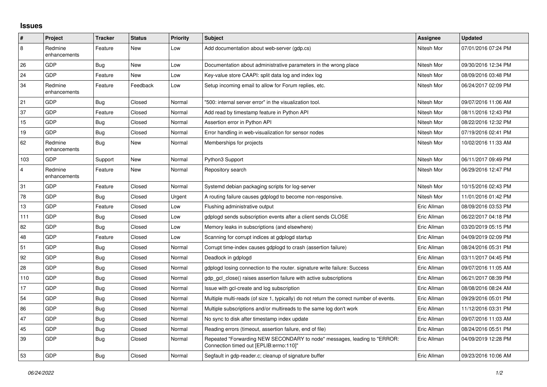## **Issues**

| $\vert$ #      | Project                 | <b>Tracker</b> | <b>Status</b> | <b>Priority</b> | <b>Subject</b>                                                                                                      | Assignee    | <b>Updated</b>      |
|----------------|-------------------------|----------------|---------------|-----------------|---------------------------------------------------------------------------------------------------------------------|-------------|---------------------|
| 8              | Redmine<br>enhancements | Feature        | New           | Low             | Add documentation about web-server (gdp.cs)                                                                         | Nitesh Mor  | 07/01/2016 07:24 PM |
| 26             | GDP                     | <b>Bug</b>     | <b>New</b>    | Low             | Documentation about administrative parameters in the wrong place                                                    | Nitesh Mor  | 09/30/2016 12:34 PM |
| 24             | GDP                     | Feature        | <b>New</b>    | Low             | Key-value store CAAPI: split data log and index log                                                                 | Nitesh Mor  | 08/09/2016 03:48 PM |
| 34             | Redmine<br>enhancements | Feature        | Feedback      | Low             | Setup incoming email to allow for Forum replies, etc.                                                               | Nitesh Mor  | 06/24/2017 02:09 PM |
| 21             | GDP                     | <b>Bug</b>     | Closed        | Normal          | "500: internal server error" in the visualization tool.                                                             | Nitesh Mor  | 09/07/2016 11:06 AM |
| 37             | GDP                     | Feature        | Closed        | Normal          | Add read by timestamp feature in Python API                                                                         | Nitesh Mor  | 08/11/2016 12:43 PM |
| 15             | GDP                     | <b>Bug</b>     | Closed        | Normal          | Assertion error in Python API                                                                                       | Nitesh Mor  | 08/22/2016 12:32 PM |
| 19             | GDP                     | Bug            | Closed        | Normal          | Error handling in web-visualization for sensor nodes                                                                | Nitesh Mor  | 07/19/2016 02:41 PM |
| 62             | Redmine<br>enhancements | Bug            | <b>New</b>    | Normal          | Memberships for projects                                                                                            | Nitesh Mor  | 10/02/2016 11:33 AM |
| 103            | GDP                     | Support        | New           | Normal          | Python3 Support                                                                                                     | Nitesh Mor  | 06/11/2017 09:49 PM |
| $\overline{4}$ | Redmine<br>enhancements | Feature        | New           | Normal          | Repository search                                                                                                   | Nitesh Mor  | 06/29/2016 12:47 PM |
| 31             | GDP                     | Feature        | Closed        | Normal          | Systemd debian packaging scripts for log-server                                                                     | Nitesh Mor  | 10/15/2016 02:43 PM |
| 78             | GDP                     | Bug            | Closed        | Urgent          | A routing failure causes gdplogd to become non-responsive.                                                          | Nitesh Mor  | 11/01/2016 01:42 PM |
| 13             | GDP                     | Feature        | Closed        | Low             | Flushing administrative output                                                                                      | Eric Allman | 08/09/2016 03:53 PM |
| 111            | GDP                     | Bug            | Closed        | Low             | gdplogd sends subscription events after a client sends CLOSE                                                        | Eric Allman | 06/22/2017 04:18 PM |
| 82             | <b>GDP</b>              | <b>Bug</b>     | Closed        | Low             | Memory leaks in subscriptions (and elsewhere)                                                                       | Eric Allman | 03/20/2019 05:15 PM |
| 48             | GDP                     | Feature        | Closed        | Low             | Scanning for corrupt indices at gdplogd startup                                                                     | Eric Allman | 04/09/2019 02:09 PM |
| 51             | GDP                     | <b>Bug</b>     | Closed        | Normal          | Corrupt time-index causes gdplogd to crash (assertion failure)                                                      | Eric Allman | 08/24/2016 05:31 PM |
| 92             | GDP                     | Bug            | Closed        | Normal          | Deadlock in gdplogd                                                                                                 | Eric Allman | 03/11/2017 04:45 PM |
| 28             | GDP                     | Bug            | Closed        | Normal          | gdplogd losing connection to the router, signature write failure: Success                                           | Eric Allman | 09/07/2016 11:05 AM |
| 110            | GDP                     | <b>Bug</b>     | Closed        | Normal          | gdp_gcl_close() raises assertion failure with active subscriptions                                                  | Eric Allman | 06/21/2017 08:39 PM |
| 17             | GDP                     | Bug            | Closed        | Normal          | Issue with gcl-create and log subscription                                                                          | Eric Allman | 08/08/2016 08:24 AM |
| 54             | GDP                     | Bug            | Closed        | Normal          | Multiple multi-reads (of size 1, typically) do not return the correct number of events.                             | Eric Allman | 09/29/2016 05:01 PM |
| 86             | GDP                     | <b>Bug</b>     | Closed        | Normal          | Multiple subscriptions and/or multireads to the same log don't work                                                 | Eric Allman | 11/12/2016 03:31 PM |
| 47             | GDP                     | Bug            | Closed        | Normal          | No sync to disk after timestamp index update                                                                        | Eric Allman | 09/07/2016 11:03 AM |
| 45             | GDP                     | Bug            | Closed        | Normal          | Reading errors (timeout, assertion failure, end of file)                                                            | Eric Allman | 08/24/2016 05:51 PM |
| 39             | GDP                     | <b>Bug</b>     | Closed        | Normal          | Repeated "Forwarding NEW SECONDARY to node" messages, leading to "ERROR:<br>Connection timed out [EPLIB:errno:110]" | Eric Allman | 04/09/2019 12:28 PM |
| 53             | GDP                     | <b>Bug</b>     | Closed        | Normal          | Segfault in gdp-reader.c; cleanup of signature buffer                                                               | Eric Allman | 09/23/2016 10:06 AM |